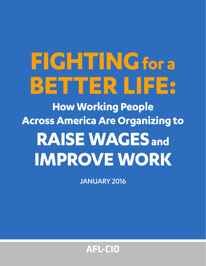# **FIGHTINGfor a BETTER LIFE:**

**How Working People Across America Are Organizing to RAISE WAGES and IMPROVE WORK** 

JANUARY 2016

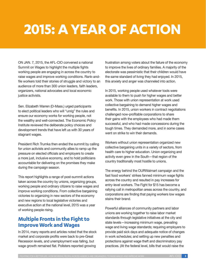# **2015: A YEAR OF ACTION**

ON JAN. 7, 2015, the AFL-CIO convened a national Summit on Wages to highlight the multiple fights working people are engaging in across the country to raise wages and improve working conditions. Rank-andfile workers told their stories of struggle and victory to an audience of more than 300 union leaders, faith leaders, organizers, national advocates and local economic justice activists.

Sen. Elizabeth Warren (D-Mass.) urged participants to elect political leaders who will "unrig" the rules and ensure our economy works for working people, not the wealthy and well-connected. The Economic Policy Institute reviewed the deliberate policy choices and development trends that have left us with 30 years of stagnant wages.

President Rich Trumka then ended the summit by calling for union activists and community allies to ramp up the pressure on elected officials and employers to create a more just, inclusive economy, and to hold politicians accountable for delivering on the promises they make during the campaign season.

This report highlights a range of post-summit actions taken across the country by unions, organizing groups, working people and ordinary citizens to raise wages and improve working conditions. From collective bargaining victories to organizing in new sectors of the economy and new regions to local legislative victories and executive action at the national level, 2015 was a year of working people rising.

# **Multiple Fronts in the Fight to Improve Work and Wages**

In 2014, many reports and articles noted that the stock market and corporate profits were back to pre-Great Recession levels, and unemployment was falling, but wage growth remained flat. Pollsters reported growing

frustration among voters about the failure of the economy to improve the lives of ordinary families. A majority of the electorate was pessimistic that their children would have the same standard of living they had enjoyed. In 2015, this anxiety and anger was channeled into action.

In 2015, working people used whatever tools were available to them to push for higher wages and better work. Those with union representation at work used collective bargaining to demand higher wages and benefits. In 2015, union workers in contract negotiations challenged now-profitable corporations to share their gains with the employees who had made them successful, and who had made concessions during the tough times. They demanded more, and in some cases went on strike to win their demands.

Workers without union representation organized new collective bargaining units in a variety of sectors, from health care to higher education. Union organizing and activity even grew in the South—that region of the country traditionally most hostile to unions.

The energy behind the OURWalmart campaign and the fast food workers' strikes fanned minimum wage fights across the country and resulted in pay increases for entry-level workers. The Fight for \$15 has become a rallying call in metropolitan areas across the country, and corporations are finding that paying workers low wages stains their brand.

Powerful alliances of community partners and labor unions are working together to raise labor market standards through legislative initiatives at the city and state levels—increasing minimum wage, prevailing wage and living wage standards; requiring employers to provide paid sick days and adequate notice of changes in work schedules; and setting up new penalties and protections against wage theft and discriminatory pay practices. (At the federal level, bills that would raise the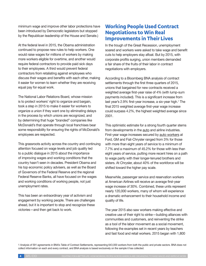minimum wage and improve other labor protections have been introduced by Democratic legislators but stopped by the Republican leadership of the House and Senate.)

At the federal level in 2015, the Obama administration continued to propose new rules to help workers. One would raise wages for millions of workers by making more workers eligible for overtime, and another would require federal contractors to provide paid sick days to their employees. A third would prevent federal contractors from retaliating against employees who discuss their wages and benefits with each other, making it easier for women to learn whether they are receiving equal pay for equal work.

The National Labor Relations Board, whose mission is to protect workers' right to organize and bargain, took a step in 2015 to make it easier for workers to organize a union if they want one by eliminating delays in the process by which unions are recognized, and by determining that huge "branded" companies like McDonald's that operate through local franchises bear some responsibility for ensuring the rights of McDonald's employees are respected.

This grassroots activity across the country and continuing attention focused on wage levels and job quality led to a public dialogue in 2015 about the importance of improving wages and working conditions that the country hasn't seen in decades. President Obama and his top economic policy advisers, as well as the Board of Governors of the Federal Reserve and the regional Federal Reserve Banks, all have focused on the wages and working conditions of working people, not just unemployment rates.

This has been an extraordinary year of activism and engagement by working people. There are challenges ahead, but it is important to stop and recognize these victories—and then get back to work.

# **Working People Used Contract Negotiations to Win Real Improvements in Their Lives**

In the trough of the Great Recession, unemployment soared and workers were asked to take wage and benefit cuts to help employers stay afloat. But by 2015, with corporate profits surging, union members demanded a fair share of the fruits of their labor in contract negotiations with employers.

According to a Bloomberg BNA analysis of contract settlements through the first three quarters of 2015, unions that bargained for new contracts received a weighted average first-year raise of 4% (with lump-sum payments included). This is a significant increase from last year's 2.9% first-year increase, a six-year high.1 The final 2015 weighted average first-year wage increase could surpass 4.2%, the highest weighted average since 2001.

This optimistic estimate for a strong fourth quarter stems from developments in the auto and airline industries. First-year wage increases secured by auto workers at Ford, GM and Fiat-Chrysler ranged from 3% for those with more than eight years of service to a minimum of 7.7% and a maximum of 45.2% for those with less than eight years of service, putting more recent hires on a path to wage parity with their longer-tenured brothers and sisters. At Chrysler, about 40% of the workforce will be shifted toward the higher pay scale.

Meanwhile, passenger service and reservation workers at American Airlines will receive an average first-year wage increase of 30%. Combined, these units represent nearly 120,000 workers, many of whom will experience a dramatic enhancement to their household income and quality of life.

The year 2015 also saw workers making effective and creative use of their right to strike—building alliances with communities and customers, and reinventing the strike as a tool of the labor movement as a social movement, following the examples set in recent years by teachers and fast food and retail workers. 2015 began with 1,800

1 Analysis of 591 agreements in BNA's Table of Contract Settlements, representing 643,000 workers from both the public and private sectors. BNA does not collect information on each and every contract, and BNA analysis is based exclusively on the sample it has collected.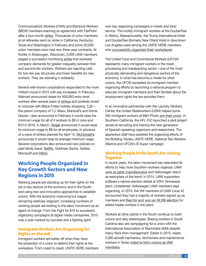Communications Workers (CWA) and Electrical Workers (IBEW) members reaching an agreement with FairPoint after a four-month strike. Thousands of union members at oil refineries went on strike in California, Kentucky, Texas and Washington in February and some 30,000 union members soon had new three-year contracts. At Kohler in Sheboygan, Wisconsin, 2,000 UAW members staged a successful monthlong strike that reversed company demands for greater inequality between firstand second-tier workers. Workers are rejecting calls for two-tier pay structures and lower benefits for new workers. They are standing in solidarity.

Several well-known corporations responded to the more militant mood in 2015 with pay increases. In February, Walmart announced raises for 500,000 entry-level workers after several years of strikes and protests timed to coincide with Black Friday holiday shopping. TJX the parent company of T.J. Maxx, Marshall's and Home Goods—also announced in February it would raise the minimum wage for all of it workers to \$9 in June and \$10 in 2016. In March, Target announced it would raise its minimum wage to \$9 for all employees. In advance of a wave of strikes planned for April 15, McDonald's announced it would raise its average minimum wage. Several corporations also announced new policies on paid family leave: Netflix, Goldman Sachs, Adobe, Microsoft and Hilton.

### **Working People Organized in Key Growth Sectors and New Regions in 2015**

Working people are standing up for their rights on the job in key sectors of the economy and in the South, and using new and innovative approaches to establish unions. With the economy improving but wages remaining relatively stagnant, increasing numbers of working people are looking to the labor movement as an agent of change. From the Fight for \$15 to successful organizing campaigns at digital media companies, 2015 was a year marked by success and a fighting spirit.

### **Immigrant Workers Are Organizing for Rights on the Job**

Immigrant workers are better off when they have the protection of a union to defend their rights at the workplace. From coast to coast, UNITE HERE members won key organizing campaigns in hotels and food service. The mostly immigrant workers at the DoubleTree in Allston, Massachusetts, the Trump International Hotel and DoubleTree (formerly New Otani) Hotel in downtown Los Angeles were among the UNITE HERE members who successfully organized their workplaces.

The United Food and Commercial Workers (UFCW) represents many immigrant workers in the meatprocessing and meatpacking sector—one of the most physically demanding and dangerous sectors of the economy. In what has become a model for other unions, the UFCW escalated its immigrant member organizing efforts by launching a national program to educate immigrant members and their families about the employment rights the law provides them.

In an innovative partnership with the Laundry Workers Center, the United Steelworkers (USW) helped some 300 immigrant workers at B&H Photo win their union. In Southern California, the AFL-CIO launched a pilot project aimed at recruiting and training the next generation of Spanish-speaking organizers and researchers. The apprentice staff have assisted the organizing efforts of the Building Trades, UNITE HERE, National Taxi Workers Alliance and UFCW's El Super campaign.

### **Working People in the South Are Joining Together**

In recent years, the labor movement has redoubled its efforts to help more Southern workers organize. UAW wins at parts manufacturers and Volkswagen stand as exemplars of the trend. In 2014, UAW supporters suffered a narrow election defeat at VW's Tennessee plant. Undeterred, Volkswagen UAW members kept organizing. In 2015, the VW members of UAW Local 42 announced they had a majority of workers signed up as members and filed for and won an NLRB election for skilled trades workers in the plant.

Workers at other plants in the South continue to build unions and defy stereotypes. Boeing workers in South Carolina also are campaigning for a union with the International Association of Machinists (IAM) despite heavy flack from management. Earlier in 2015, nearly 2,000 aircraft mechanics, technicians and maintenance workers in Texas voted to form unions as IAM members.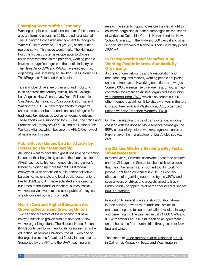### **Emerging Sectors of the Economy**

Working people in nontraditional sectors of the economy also are forming unions. In 2015, the editorial staff at The Huffington Post asked management to recognize Writers Guild of America, East (WGAE) as their union representative. This move would make The Huffington Post the biggest digital news operation to choose union representation. In the past year, working people have made significant gains in the media industry as The NewsGuild-CWA and WGAE have enjoyed major organizing wins, including at Gawker, The Guardian US, ThinkProgress, Salon and Vice Media.

Taxi and Uber drivers are organizing and mobilizing in cities across the country. Austin, Texas, Chicago, Los Angeles, New Orleans, New York, Philadelphia, San Diego, San Francisco, San Jose, California, and Washington, D.C., all saw major efforts to organize unions, protest for better conditions and win gains for traditional taxi drivers as well as on-demand drivers. These efforts were supported by AFSCME, the Office and Professional Employees (OPEIU), and the National Taxi Workers Alliance, which became the AFL-CIO's newest affiliate union this year.

### **Public-Sector Unions Gird for Attacks by Increasing Their Membership**

All unions want to have the highest possible participation in each of their bargaining units. In the federal sector, AFGE reached its highest membership in the union's history by signing up more than 300,000 federal employees. With attacks on public-sector collective bargaining, major state and local public-sector unions like AFSCME and AFT have activated and signed up hundreds of thousands of teachers, nurses, social workers, service workers and other public employees already covered by union contracts.

### **Health Care and Higher Education Are Growing Sectors and Growing Unions**

Two traditional sectors of the economy that have enjoyed sustained growth also are hotbeds of new worker organizing efforts. The National Nurses Union (NNU) continued to win new locals for nurses. In higher education, at Temple University, the AFT won one of the largest elections for adjunct faculty in recent years. Supported by the AFT and the UAW, teaching and

research assistants hoping to restore their legal right to collective bargaining launched campaigns for thousands of workers at Columbia, Cornell, Harvard and the New School University. In the Midwest, 600 clerical and other support staff workers at Northern Illinois University joined AFSCME.

### **In Transportation and Manufacturing, Working People Improve Standards by Organizing**

As the economy rebounds and transportation and manufacturing jobs recover, working people are joining unions to improve their working conditions and wages. Some 5,000 passenger service agents at Envoy, a major contractor for American Airlines, organized their union with support from CWA, which also counts 80,000 other members at airlines. Bike share workers in Boston, Chicago, New York and Washington, D.C., organized unions with the Transport Workers (TWU).

On the manufacturing side of transportation, working in coalition with the Jobs to Move America campaign, the IBEW successfully helped workers organize a union at Kinki-Sharyo, the manufacturer of Los Angles subway cars.

### **Big Strikes: Workers Reviving a Key Tactic When Necessary**

In recent years, Walmart "associates," fast food workers, and the Chicago and Seattle teachers all have proven that the strike remains an important tool for working people. That trend continued in 2015. In February, after years of organizing supported by the UFCW and several years of strikes and protests timed to Black Friday holiday shopping, Walmart announced raises for 500,000 workers.

In addition to several waves of short duration strikes in food service, several more traditional strikes in manufacturing and telecommunications resulted in wage and benefit gains. The year began with 1,800 CWA and IBEW members at FairPoint reaching an agreement on the heels of a four-month strike through a bitter New England winter.

Thousands of union members at oil refineries struck in California, Kentucky, Texas and Washington in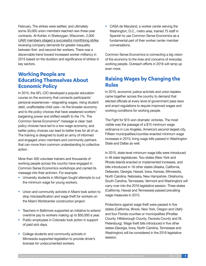February. The strikes were settled, and ultimately some 30,000 union members reached new three-year contracts. At Kohler, in Sheboygan, Wisconsin, 2,000 UAW members staged a successful monthlong strike, reversing company demands for greater inequality between first- and second-tier workers. There was a discernable trend toward increased worker militancy in 2015 based on the duration and significance of strikes in key sectors.

# **Working People are Educating Themselves About Economic Policy**

In 2015, the AFL-CIO developed a popular education course on the economy that connects participants' personal experiences—stagnating wages, rising student debt, unaffordable child care—to the broader economy and to *the policy choices that have weakened workers' bargaining power and shifted wealth to the 1%.* The Common Sense Economics® message is clear: bad policy choices have led to a low-wage economy, and better policy choices can lead to better lives for all of us. The training is designed to build an army of informed and engaged union members and community partners that can move from common understanding to collective action.

More than 400 volunteer trainers and thousands of working people across the country have engaged in Common Sense Economics workshops and carried its message into their activism. For example:

- **•** University students in Michigan fought attempts to cut the minimum wage for young workers.
- **•** Union and community activists in Miami took action to stop misclassification and wage theft for workers on the Miami Worldcenter construction project.
- **•** Teachers in Baltimore supported an initiative to extend overtime pay to workers making up to \$50,000 a year.
- **•** Public employees in Colorado took action in support of paid sick days.
- **•** College students and community activists in Minnesota supported legislation to provide driver's licenses for undocumented workers.

**•** CASA de Maryland, a worker center serving the Washington, D.C., metro area, trained 75 staff in Spanish to use Common Sense Economics as a fundamental part of their worker center member conversations.

Common Sense Economics is connecting a big vision of the economy to the lives and concerns of everyday working people. Outreach efforts in 2016 will ramp up even more.

# **Raising Wages by Changing the Rules**

In 2015, economic justice activists and union leaders came together across the country to demand that elected officials at every level of government pass laws and enact regulations to *require* improved wages and working conditions for working people.

The Fight for \$15 won dramatic victories. The most visible was the passage of a \$15 minimum wage ordinance in Los Angeles, America's second-largest city. Fifteen municipalities/counties enacted minimum wage increases in 2015; living wage bills passed in Washington State and Dallas as well.

In 2015, state-level minimum wage bills were introduced in 46 state legislatures. Two states (New York and Rhode Island) enacted or implemented increases, and bills introduced in 16 other states (Alaska, California, Delaware, Georgia, Hawaii, Iowa, Kansas, Minnesota, North Carolina, Nebraska, New Hampshire, Oklahoma, South Carolina, Tennessee, Vermont and Washington) will carry over into the 2016 legislative session. Three states (California, Hawaii and Tennessee) passed prevailing wage measures in 2015.

Protections against wage theft were passed in five states (California, Illinois, New York, Oregon and Utah) and four Florida counties or municipalities (Pinellas County, Hillsborough County, Osceola County and St. Petersburg). Wage theft bills introduced in five other states (Georgia, Iowa, North Carolina, Tennessee and Washington) will be considered in the 2016 legislative session.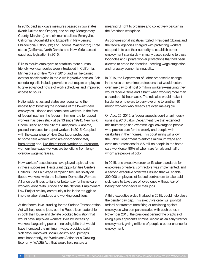In 2015, paid sick days measures passed in two states (North Dakota and Oregon), one county (Montgomery County, Maryland), and six municipalities (Emeryville, California; Bloomfield and Elizabeth in New Jersey; Philadelphia; Pittsburgh; and Tacoma, Washington).Three states (California, North Dakota and New York) passed equal pay legislation in 2015.

Bills to require employers to establish more humanfriendly work schedules were introduced in California, Minnesota and New York in 2015, and will be carried over for consideration in the 2016 legislative session. Fair scheduling bills include provisions that require employers to give advanced notice of work schedules and improved access to hours.

Nationwide, cities and states are recognizing the necessity of boosting the incomes of the lowest-paid employees—tipped and home care workers. In the face of federal inaction (the federal minimum rate for tipped workers has been stuck at \$2.13 since 1991), New York, Rhode Island and the city of Birmingham, Alabama, passed increases for tipped workers in 2015. Coupled with the expansion of New Deal labor protections to home care workers (who are disproportionately immigrants and, like their tipped-worker counterparts, women), low-wage workers are benefiting from longoverdue wage increases.

New workers' associations have played a pivotal role in these successes: Restaurant Opportunities Centers United's One Fair Wage campaign focuses solely on tipped workers, while the National Domestic Workers Alliance continues to fight for better pay for home care workers. Jobs With Justice and the National Employment Law Project are key community allies in the struggle to improve labor standards and working conditions.

At the federal level, funding for the Surface Transportation Act will help create jobs, but the Republican leadership in both the House and Senate blocked legislation that would have improved workers' lives by increasing workers' bargaining power—including bills that would have increased the minimum wage, provided paid sick days, improved Social Security and, perhaps most importantly, the Workplace Action for a Growing Economy (WAGE) Act, that would help restore a

meaningful right to organize and collectively bargain in the American workplace.

As congressional initiatives fizzled, President Obama and the federal agencies charged with protecting workers stepped in to use their authority to establish better employment standards—in many cases seeking to close loopholes and update worker protections that had been allowed to erode for decades—feeding wage stagnation and runaway economic inequality.

In 2015, the Department of Labor proposed a change in the rules on overtime protections that would restore overtime pay to almost 5 million workers—ensuring they would receive "time and a half" when working more than a standard 40-hour week. The rule also would make it harder for employers to deny overtime to another 10 million workers who already are overtime-eligible.

On Aug. 25, 2015, a federal appeals court unanimously upheld a 2013 Labor Department rule that extended minimum wage and overtime legal coverage to people who provide care for the elderly and people with disabilities in their homes. This court ruling will allow the Labor Department to enforce minimum wage and overtime protections for 2.5 million people in the home care workforce, 90% of whom are female and half of whom are people of color.

In 2015, one executive order to lift labor standards for employees of federal contractors was implemented, and a second executive order was issued that will enable 300,000 employees of federal contractors to take paid sick leave to take care of loved ones without fear of losing their paychecks or their jobs.

A third executive order, finalized in 2015, could help close the gender pay gap. This executive order will prohibit federal contractors from firing or retaliating against employees who compare salaries with each other. In November 2015, the president banned the practice of using a job applicant's criminal record as an early filter for employment, giving millions of people a better chance for employment.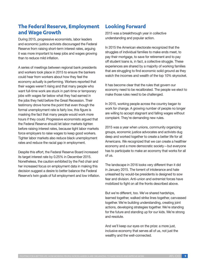# **The Federal Reserve, Employment and Wage Growth**

During 2015, progressive economists, labor leaders and economic justice activists discouraged the Federal Reserve from raising short-term interest rates, arguing it was more important to keep jobs and wages growing than to reduce mild inflation.

A series of meetings between regional bank presidents and workers took place in 2015 to ensure the bankers could hear from workers about how they feel the economy actually is performing. Workers reported that their wages weren't rising and that many people who want full-time work are stuck in part-time or temporary jobs with wages far below what they had earned in the jobs they held before the Great Recession. Their testimony drove home the point that even though the formal unemployment rate is fairly low, this figure is masking the fact that many people would work more hours if they could. Progressive economists argued that the Federal Reserve should let labor markets tighten before raising interest rates, because tight labor markets force employers to raise wages to keep good workers. Tighter labor markets also reduce black unemployment rates and reduce the racial gap in employment.

Despite this effort, the Federal Reserve Board increased its target interest rate by 0.25% in December 2015. Nonetheless, the caution exhibited by the Fed chair and her increased focus on employment data in making this decision suggest a desire to better balance the Federal Reserve's twin goals of full employment and low inflation.

# **Looking Forward**

2015 was a breakthrough year in collective understanding and popular action.

In 2015 the American electorate recognized that the struggles of individual families to make ends meet, to pay their mortgage, to save for retirement and to pay off student loans is, in fact, a collective struggle. These experiences are shared by a majority of working families that are struggling to find economic solid ground as they watch the incomes and wealth of the top 10% skyrocket.

It has become clear that the rules that govern our economy need to be recalibrated. The people we elect to make those rules need to be challenged.

In 2015, working people across the country began to work for change. A growing number of people no longer are willing to accept stagnant and falling wages without complaint. They're demanding new rules.

2015 was a year when unions, community organizing groups, economic justice advocates and activists dug deep and worked together to create a better life for all Americans. We recognized that we can create a healthier economy and a more democratic society—but everyone has to participate to make an economy that works for all of us.

The landscape in 2016 looks very different than it did in January 2015. The torrent of intolerance and hate unleashed by would-be presidents is designed to sow fear and division. Anti-union and extremist forces have mobilized to fight on all the fronts described above.

But we're different, too. We've shared hardships, learned together, walked strike lines together, canvassed together. We're building understanding, creating joint actions, developing strategies together. We're standing for the future and standing up for our kids. We're strong and resolute.

And we'll keep our eyes on the prize: a more just, inclusive economy that serves all of us, not just the wealthy and the well-connected.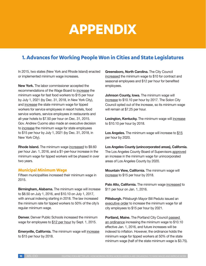# **APPENDIX**

# **1. Advances for Working People Won in Cities and State Legislatures**

In 2015, two states (New York and Rhode Island) enacted or implemented minimum wage increases.

**New York.** The labor commissioner accepted the recommendations of the Wage Board to increase the minimum wage for fast food workers to \$15 per hour by July 1, 2021 (by Dec. 31, 2018, in New York City), and increase the state minimum wage for tipped workers for service employees in resort hotels, food service workers, service employees in restaurants and all-year hotels to \$7.50 per hour on Dec. 31, 2015. Gov. Andrew Cuomo also made an executive decision to increase the minimum wage for state employees to \$15 per hour by July 1, 2021 (by Dec. 31, 2018, in New York City).

**Rhode Island.** The minimum wage increased to \$9.60 per hour Jan. 1, 2016, and a \$1-per-hour increase in the minimum wage for tipped workers will be phased in over two years.

#### **Municipal Minimum Wage**

Fifteen municipalities increased their minimum wage in 2015.

**Birmingham, Alabama.** The minimum wage will increase to \$8.50 on July 1, 2016, and \$10.10 on July 1, 2017, with annual indexing starting in 2018. The law increased the minimum rate for tipped workers to 50% of the city's regular minimum wage.

**Denver.** Denver Public Schools increased the minimum wage for employees to \$12 per hour by Sept. 1, 2015.

**Emeryville, California.** The minimum wage will increase to \$15 per hour by 2018.

**Greensboro, North Carolina.** The City Council increased the minimum wage to \$10 for contract and seasonal employees and \$12 per hour for benefited employees.

**Johnson County, Iowa.** The minimum wage will increase to \$10.10 per hour by 2017. The Solon City Council opted out of the increase, so its minimum wage will remain at \$7.25 per hour.

**Lexington, Kentucky.** The minimum wage will increase to \$10.10 per hour by 2018.

Los Angeles. The minimum wage will increase to \$15 per hour by 2020.

**Los Angeles County (unincorporated areas), California.**  The Los Angeles County Board of Supervisors approved an increase in the minimum wage for unincorporated areas of Los Angeles County by 2020.

**Mountain View, California.** The minimum wage will increase to \$15 per hour by 2018.

Palo Alto, California. The minimum wage increased to \$11 per hour on Jan. 1, 2016.

**Pittsburgh.** Pittsburgh Mayor Bill Peduto issued an executive order to increase the minimum wage for all city employees to \$15 per hour by 2021.

**Portland, Maine.** The Portland City Council passed an ordinance increasing the minimum wage to \$10.10 effective Jan. 1, 2016, and future increases will be indexed to inflation. However, the ordinance holds the minimum wage for tipped workers at 50% of the state minimum wage (half of the state minimum wage is \$3.75).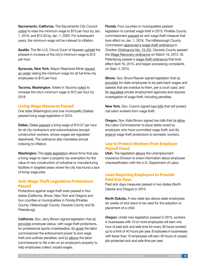**Sacramento, California.** The Sacramento City Council voted to raise the minimum wage to \$10 per hour by Jan. 1, 2016, and \$12.50 by Jan. 1, 2020. For subsequent years, the minimum wage will be indexed to inflation.

**Seattle.** The 9th U.S. Circuit Court of Appeals upheld the phased-in increase of the city's minimum wage to \$15 per hour.

**Syracuse, New York.** Mayor Stephanie Miner issued an order raising the minimum wage for all full-time city employees to \$15 per hour.

**Tacoma, Washington.** Voters in Tacoma voted to increase the city's minimum wage to \$12 per hour by 2018.

#### **Living Wage Measures Passed**

One state (Washington) and one municipality (Dallas) passed living wage legislation in 2015.

**Dallas.** Dallas passed a living wage of \$10.37 per hour for all city contractors and subcontractors (except construction workers, whose wages are regulated elsewhere). The ordinance also mandates annual indexing to inflation.

**Washington.** The state legislation allows firms that pay a living wage to claim a property tax exemption for the value of new construction of industrial or manufacturing facilities in targeted areas where the city has found a lack of living-wage jobs.

### **Anti-Wage Theft Legislative Protections Passed**

Protections against wage theft were passed in four states (California, Illinois, New York and Oregon) and four counties or municipalities in Florida (Pinellas County, Hillsborough County, Osceola County and St. Petersburg).

**California.** Gov. Jerry Brown signed legislation that (a) provides employee status, with wage theft protections, for professional sports cheerleaders; (b) gives the labor commissioner the enforcement power to end wage theft and outlines penalties; and (c) allows the labor commissioner to file a lien on an employer's property to help employees collect unpaid wages.

**Florida.** Four counties or municipalities passed legislation to combat wage theft in 2015. Pinellas County commissioners passed an anti-wage theft measure that took effect on Jan. 1, 2016. The Hillsborough County Commission approved a wage theft ordinance in October (Ordinance No. 15-25). Osceola County passed the Wage Recovery ordinance on March 16, 2015. St. Petersburg passed a wage theft ordinance that took effect April 16, 2015, and began processing complaints on Sept. 2, 2015.

**Illinois.** Gov. Bruce Rauner signed legislation that (a) provides for state employees to be paid back wages and salaries that are overdue to them, per a court case; and (b) regulates private employment agencies and requires investigation of wage theft, including penalties.

**New York.** Gov. Cuomo signed two bills that will protect nail salon workers from wage theft.

**Oregon.** Gov. Kate Brown signed two bills that (a) allow the Labor Commissioner to issue debts owed by employers who have committed wage theft; and (b) extend wage theft protections to domestic workers.

### **Law to Protect Workers from Employer Payroll Fraud**

**Utah.** The legislation allows the Unemployment Insurance Division to share information about employee misclassification with the U.S. Department of Labor.

### **Laws Requiring Employers to Provide Paid Sick Days**

Paid sick days measures passed in two states (North Dakota and Oregon) in 2015.

**North Dakota.** A new state law allows state employees six weeks of sick leave to be used for the adoption or placement of a child.

**Oregon.** Under new legislation passed in 2015, workers in businesses with 10 or more employees will earn one hour of paid sick and safe time for every 30 hours worked, up to a limit of 40 hours per year. Employees in businesses with fewer than 10 employees will earn 40 hours of unpaid, job-protected sick and safe time per year.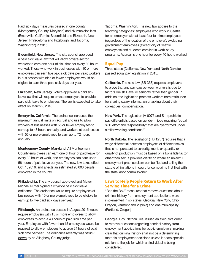Paid sick days measures passed in one county (Montgomery County, Maryland) and six municipalities (Emeryville, California; Bloomfield and Elizabeth, New Jersey; Philadelphia and Pittsburgh; and Tacoma, Washington) in 2015.

**Bloomfield, New Jersey.** The city council approved a paid sick leave law that will allow private-sector workers to earn one hour of sick time for every 30 hours worked. Those who work in businesses with 10 or more employees can earn five paid sick days per year; workers in businesses with nine or fewer employees would be eligible to earn three paid sick days per year.

**Elizabeth, New Jersey.** Voters approved a paid sick leave law that will require private employers to provide paid sick leave to employees. The law is expected to take effect on March 2, 2016.

**Emeryville, California.** The ordinance increases the maximum annual limits on accrual and use to allow workers at businesses with 55 or fewer employees to earn up to 48 hours annually, and workers at businesses with 56 or more employees to earn up to 72 hours annually.

**Montgomery County, Maryland.** All Montgomery County employees can earn one of hour of paid leave for every 30 hours of work, and employees can earn up to 56 hours of paid leave per year. The new law takes effect Oct. 1, 2016, and affects an estimated 90,000 people employed in the county.

**Philadelphia.** The city council approved and Mayor Michael Nutter signed a citywide paid sick leave ordinance. The ordinance would require employees at businesses with 10 or more employees to be eligible to earn up to five paid sick days per year.

**Pittsburgh.** An ordinance passed in August 2015 would require employers with 15 or more employees to allow employees to accrue 40 hours of paid sick time per year. Employers with fewer than 15 employees would be required to allow employees to accrue 24 hours of paid sick time per year. The ordinance recently was struck down by an Allegheny County judge.

**Tacoma, Washington.** The new law applies to the following categories: employees who work in Seattle for an employer with at least four full-time employees (regardless of the location of the employer), excluding government employees (except city of Seattle employees) and students enrolled in work-study programs. Accrual is one hour for every 40 hours worked.

### **Equal Pay**

Three states (California, New York and North Dakota) passed equal pay legislation in 2015.

**California.** The new law (SB 358) requires employers to prove that any pay gap between workers is due to factors like skill level or seniority rather than gender. In addition, the legislation protects workers from retribution for sharing salary information or asking about their colleagues' compensation.

**New York.** The legislation (A 6075 and S 1) prohibits pay differentials based on gender in jobs requiring "equal skill, effort and responsibility" that are "performed under similar working conditions."

**North Dakota.** The legislation (HB 1257) requires that a wage differential between employees of different sexes that is not pursuant to seniority, merit, or quantity or quality of production must be based on a bona fide factor other than sex. It provides clarity on where an unlawful employment practice claim can be filed and tolling the statute of limitations in court for complaints first filed with the state labor commissioner.

### **Laws to Help People Return to Work After Serving Time for a Crime**

"Ban the Box" measures that remove questions about criminal history from employment applications were implemented in six states (Georgia, New York, Ohio, Oregon, Vermont and Virginia) and one municipality (Portland, Oregon).

**Georgia.** Gov. Nathan Deal issued an executive order to remove questions regarding criminal history from employment applications for public employers, making clear that criminal history shall not be a determining factor in employment decisions unless it bears specific relation to the job for which an individual is being considered.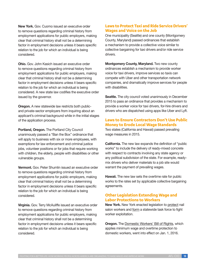**New York.** Gov. Cuomo issued an executive order to remove questions regarding criminal history from employment applications for public employers, making clear that criminal history shall not be a determining factor in employment decisions unless it bears specific relation to the job for which an individual is being considered.

**Ohio.** Gov. John Kasich issued an executive order to remove questions regarding criminal history from employment applications for public employers, making clear that criminal history shall not be a determining factor in employment decisions unless it bears specific relation to the job for which an individual is being considered. A new state law codifies the executive order issued by the governor.

**Oregon.** A new statewide law restricts both publicand private-sector employers from inquiring about an applicant's criminal background while in the initial stages of the application process.

**Portland, Oregon.** The Portland City Council unanimously passed a "Ban the Box" ordinance that will apply to business with six or more employees, with exemptions for law enforcement and criminal justice jobs, volunteer positions or for jobs that require working with children, the elderly, people with disabilities or other vulnerable groups.

**Vermont.** Gov. Peter Shumlin issued an executive order to remove questions regarding criminal history from employment applications for public employers, making clear that criminal history shall not be a determining factor in employment decisions unless it bears specific relation to the job for which an individual is being considered.

**Virginia.** Gov. Terry McAuliffe issued an executive order to remove questions regarding criminal history from employment applications for public employers, making clear that criminal history shall not be a determining factor in employment decisions unless it bears specific relation to the job for which an individual is being considered.

### **Laws to Protect Taxi and Ride Service Drivers' Wages and Voice on the Job**

One municipality (Seattle) and one county (Montgomery County, Maryland) passed ordinances that establish a mechanism to provide a collective voice similar to collective bargaining for taxi drivers and/or ride service drivers.

**Montgomery County, Maryland.** Two new county ordinances establish a mechanism to provide worker voice for taxi drivers, improve services so taxis can compete with Uber and other transportation network companies, and dramatically improve services for people with disabilities.

**Seattle.** The city council voted unanimously in December 2015 to pass an ordinance that provides a mechanism to provide a worker voice for taxi drivers, for-hire drivers and drivers who are dispatched using apps like Uber and Lyft.

### **Laws to Ensure Contractors Don't Use Public Money to Erode Local Wage Standards**

Two states (California and Hawaii) passed prevailing wage measures in 2015.

**California.** The new law expands the definition of "public works" to include the delivery of ready-mixed concrete with respect to contracts involving any state agency or any political subdivision of the state. For example, readymix drivers who deliver materials to a job site would warrant the payment of prevailing wages.

**Hawaii.** The new law sets the overtime rate for public works to the rates set by applicable collective bargaining agreements.

### **Other Legislation Extending Wage and Labor Protections to Workers**

**New York.** New York enacted legislation to protect nail salon workers and form a statewide task force to fight worker exploitation.

**Oregon.** The Domestic Workers' Bill of Rights, which applies minimum wage and overtime protection to domestic workers, went into effect on Jan. 1, 2016.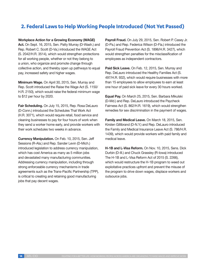# **2. Federal Laws to Help Working People Introduced (Not Yet Passed)**

**Workplace Action for a Growing Economy (WAGE) Act.** On Sept. 16, 2015, Sen. Patty Murray (D-Wash.) and Rep. Robert C. Scott (D-Va.) introduced the WAGE Act (S. 2042/H.R. 3514), which would strengthen protections for all working people, whether or not they belong to a union, who organize and promote change through collective action, and thereby open up pathways to equal pay, increased safety and higher wages.

**Minimum Wage.** On April 30, 2015, Sen. Murray and Rep. Scott introduced the Raise the Wage Act (S. 1150/ H.R. 2150), which would raise the federal minimum wage to \$12 per hour by 2020.

**Fair Scheduling.** On July 15, 2015, Rep. Rosa DeLauro (D-Conn.) introduced the Schedules That Work Act (H.R. 3071), which would require retail, food service and cleaning businesses to pay for four hours of work when they send a worker home early, and provide workers with their work schedules two weeks in advance.

**Currency Manipulation.** On Feb. 10, 2015, Sen. Jeff Sessions (R-Ala.) and Rep. Sander Levin (D-Mich.) introduced legislation to address currency manipulation, which has cost America as many as 5 million jobs and devastated many manufacturing communities. Addressing currency manipulation, including through strong enforceable currency mechanisms in trade agreements such as the Trans-Pacific Partnership (TPP), is critical to creating and retaining good manufacturing jobs that pay decent wages.

**Payroll Fraud.** On July 29, 2015, Sen. Robert P. Casey Jr. (D-Pa.) and Rep. Federica Wilson (D-Fla.) introduced the Payroll Fraud Prevention Act (S. 1896/H.R. 3427), which would strengthen penalties for the misclassification of employees as independent contractors.

**Paid Sick Leave.** On Feb. 12, 2015, Sen. Murray and Rep. DeLauro introduced the Healthy Families Act (S. 497/H.R. 932), which would require businesses with more than 15 employees to allow employees to earn at least one hour of paid sick leave for every 30 hours worked.

**Equal Pay.** On March 25, 2015, Sen. Barbara Mikulski (D-Md.) and Rep. DeLauro introduced the Paycheck Fairness Act (S. 862/H.R. 1619), which would strengthen remedies for sex discrimination in the payment of wages.

**Family and Medical Leave.** On March 18, 2015, Sen. Kirsten Gillibrand (D-N.Y.) and Rep. DeLauro introduced the Family and Medical Insurance Leave Act (S. 786/H.R. 1439), which would provide workers with paid family and medical leave.

**H-1B and L-Visa Reform.** On Nov. 10, 2015, Sens. Dick Durbin (D-Ill.) and Chuck Grassley (R-Iowa) introduced The H-1B and L-Visa Reform Act of 2015 (S. 2266), which would restructure the H-1B program to weed out exploitative practices upfront and prevent the misuse of the program to drive down wages, displace workers and outsource jobs.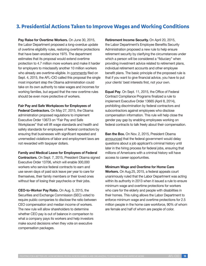# **3. Presidential Actions Taken to Improve Wages and Working Conditions**

**Pay Raise for Overtime Workers.** On June 30, 2015, the Labor Department proposed a long-overdue update of overtime eligibility rules, restoring overtime protections that have been eroded since 1975. The department estimates that its proposal would extend overtime protection to 4.7 million more workers and make it harder for employers to misclassify another 10 million workers who already are overtime-eligible. In comments filed on Sept. 4, 2015, the AFL-CIO called this proposal the single most important step the Obama administration could take on its own authority to raise wages and incomes for working families, but argued that the new overtime rules should be even more protective of workers.

**Fair Pay and Safe Workplaces for Employees of Federal Contractors.** On May 27, 2015, the Obama administration proposed regulations to implement Executive Order 13673 on "Fair Pay and Safe Workplaces" that will lift wage standards and health and safety standards for employees of federal contractors by ensuring that businesses with significant repeated and unremedied violations of labor and employment laws are not rewarded with taxpayer dollars.

**Family and Medical Leave for Employees of Federal** 

**Contractors.** On Sept. 7, 2015, President Obama signed Executive Order 13706, which will enable 300,000 workers who service federal contracts to earn and use seven days of paid sick leave per year to care for themselves, their family members or their loved ones without fear of losing their paychecks or their jobs.

**CEO-to-Worker Pay Ratio.** On Aug. 5, 2015, the Securities and Exchange Commission (SEC) voted to require public companies to disclose the ratio between CEO compensation and median income of workers. The new rule will allow shareholders to determine whether CEO pay is out of balance in comparison to what a company pays its workers and help investors make sound decisions when they vote on executive compensation packages.

**Retirement Income Security.** On April 20, 2015, the Labor Department's Employee Benefits Security Administration proposed a new rule to help ensure retirement security by clarifying the circumstances under which a person will be considered a "fiduciary" when providing investment advice related to retirement plans, individual retirement accounts and other employee benefit plans. The basic principle of the proposed rule is that if you want to give financial advice, you have to put your clients' best interests first, not your own.

**Equal Pay**. On Sept. 11, 2015, the Office of Federal Contract Compliance Programs finalized a rule to implement Executive Order 13665 (April 8, 2014), prohibiting discrimination by federal contractors and subcontractors against employees who disclose compensation information. This rule will help close the gender pay gap by enabling employees working on federal contracts to talk freely about their compensation.

**Ban the Box.** On Nov. 2, 2015, President Obama announced that the federal government would delay questions about a job applicant's criminal history until later in the hiring process for federal jobs, ensuring that millions of Americans with a criminal history will have access to career opportunities.

**Minimum Wage and Overtime for Home Care** 

**Workers.** On Aug.25, 2015, a federal appeals court unanimously ruled that the Labor Department was acting within its authority in 2013 when it issued a rule to ensure minimum wage and overtime protections for workers who care for the elderly and people with disabilities in their homes. This ruling allows the Labor Department to enforce minimum wage and overtime protections for 2.5 million people in the home care workforce, 90% of whom are female and half of whom are people of color.